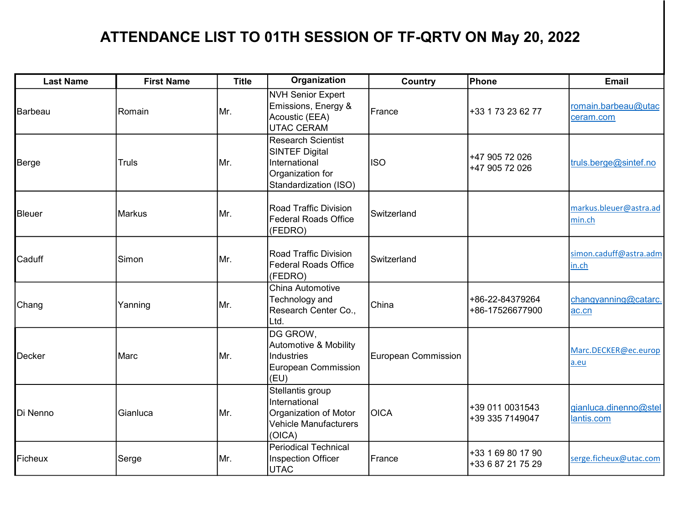## ATTENDANCE LIST TO 01TH SESSION OF TF-QRTV ON May 20, 2022

| <b>Last Name</b> | <b>First Name</b> | <b>Title</b> | Organization                                                                                       | Country             | <b>Phone</b>                           | <b>Email</b>                        |
|------------------|-------------------|--------------|----------------------------------------------------------------------------------------------------|---------------------|----------------------------------------|-------------------------------------|
| Barbeau          | Romain            | Mr.          | <b>NVH Senior Expert</b><br>Emissions, Energy &<br>Acoustic (EEA)<br>UTAC CERAM                    | <b>IFrance</b>      | +33 1 73 23 62 77                      | romain.barbeau@utac<br>ceram.com    |
| Berge            | <b>Truls</b>      | Mr.          | Research Scientist<br>SINTEF Digital<br>International<br>Organization for<br>Standardization (ISO) | <b>ISO</b>          | +47 905 72 026<br>+47 905 72 026       | truls.berge@sintef.no               |
| Bleuer           | <b>Markus</b>     | Mr.          | Road Traffic Division<br>Federal Roads Office<br>(FEDRO)                                           | Switzerland         |                                        | markus.bleuer@astra.ad<br>min.ch    |
| Caduff           | Simon             | Mr.          | Road Traffic Division<br>Federal Roads Office<br>(FEDRO)                                           | Switzerland         |                                        | simon.caduff@astra.adm<br>in.ch     |
| Chang            | Yanning           | Mr.          | China Automotive<br>Technology and<br>Research Center Co.,<br>Ltd.                                 | China               | +86-22-84379264<br>+86-17526677900     | changyanning@catarc.<br>ac.cn       |
| Decker           | Marc              | Mr.          | DG GROW,<br>Automotive & Mobility<br>Industries<br>European Commission<br>(EU)                     | European Commission |                                        | Marc.DECKER@ec.europ<br>a.eu        |
| Di Nenno         | Gianluca          | Mr.          | Stellantis group<br>International<br>Organization of Motor<br>Vehicle Manufacturers<br>(OICA)      | <b>OICA</b>         | +39 011 0031543<br>+39 335 7149047     | gianluca.dinenno@stel<br>lantis.com |
| Ficheux          | Serge             | Mr.          | Periodical Technical<br>Inspection Officer<br>UTAC                                                 | France              | +33 1 69 80 17 90<br>+33 6 87 21 75 29 | serge.ficheux@utac.com              |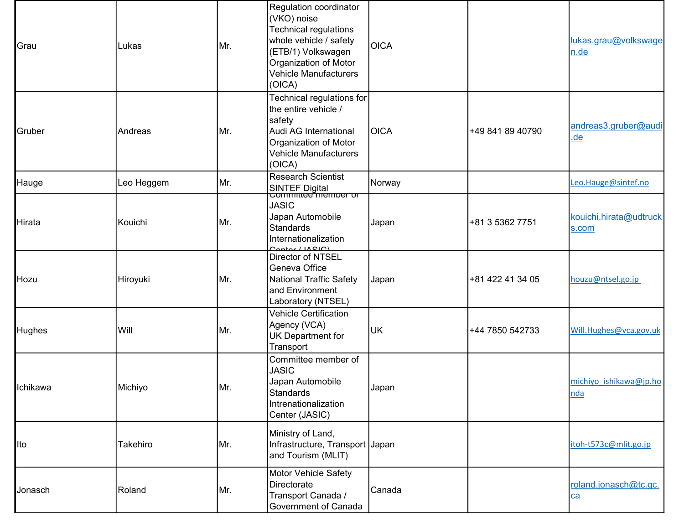| Grau     | Lukas      | Mr.  | Regulation coordinator<br>(VKO) noise<br><b>Technical regulations</b><br>whole vehicle / safety<br>(ETB/1) Volkswagen<br>Organization of Motor<br><b>Vehicle Manufacturers</b><br>(OICA) | <b>OICA</b> |                  | lukas.grau@volkswage<br>n.de      |
|----------|------------|------|------------------------------------------------------------------------------------------------------------------------------------------------------------------------------------------|-------------|------------------|-----------------------------------|
| Gruber   | Andreas    | Mr.  | Technical regulations for<br>the entire vehicle /<br>safety<br>Audi AG International<br>Organization of Motor<br><b>Vehicle Manufacturers</b><br>(OICA)                                  | <b>OICA</b> | +49 841 89 40790 | andreas3.gruber@audi<br><u>de</u> |
| Hauge    | Leo Heggem | Mr.  | <b>Research Scientist</b><br><b>SINTEF Digital</b><br>Committee member or                                                                                                                | Norway      |                  | Leo.Hauge@sintef.no               |
| Hirata   | Kouichi    | Mr.  | <b>JASIC</b><br>Japan Automobile<br><b>Standards</b><br>Internationalization<br>Contor (IRClC)                                                                                           | Japan       | +81 3 5362 7751  | kouichi.hirata@udtruck<br>s.com   |
| Hozu     | Hiroyuki   | Mr.  | Director of NTSEL<br>Geneva Office<br>National Traffic Safety<br>and Environment<br>Laboratory (NTSEL)                                                                                   | Japan       | +81 422 41 34 05 | houzu@ntsel.go.jp                 |
| Hughes   | Will       | Mr.  | <b>Vehicle Certification</b><br>Agency (VCA)<br>UK Department for<br>Transport                                                                                                           | UK          | +44 7850 542733  | Will.Hughes@vca.gov.uk            |
| Ichikawa | Michiyo    | ۱Mr. | Committee member of<br><b>JASIC</b><br>Japan Automobile<br>Standards<br>Intrenationalization<br>Center (JASIC)                                                                           | Japan       |                  | michiyo ishikawa@jp.ho<br>nda     |
| Ito      | Takehiro   | Mr.  | Ministry of Land,<br>Infrastructure, Transport Japan<br>and Tourism (MLIT)                                                                                                               |             |                  | itoh-t573c@mlit.go.jp             |
| Jonasch  | Roland     | Mr.  | Motor Vehicle Safety<br>Directorate<br>Transport Canada /<br>Government of Canada                                                                                                        | Canada      |                  | roland.jonasch@tc.gc.<br>ca       |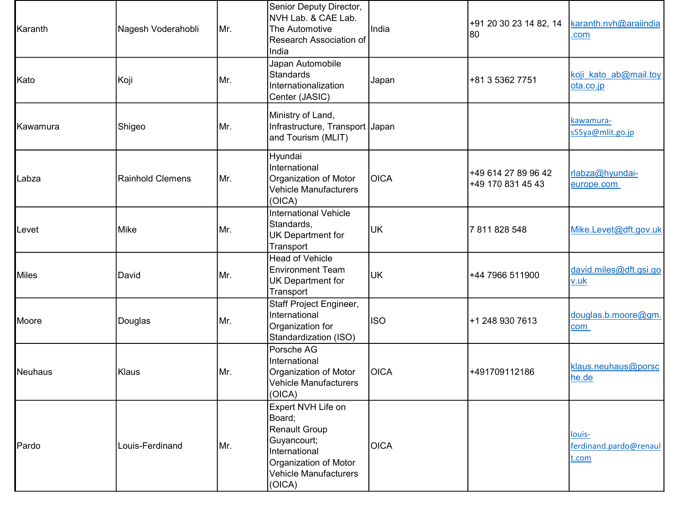| Karanth        | Nagesh Voderahobli      | Mr. | Senior Deputy Director,<br>NVH Lab. & CAE Lab.<br>The Automotive<br>Research Association of<br>India                                             | India       | +91 20 30 23 14 82, 14<br> 80            | karanth.nvh@araiindia<br>.com             |
|----------------|-------------------------|-----|--------------------------------------------------------------------------------------------------------------------------------------------------|-------------|------------------------------------------|-------------------------------------------|
| Kato           | Koji                    | Mr. | Japan Automobile<br><b>Standards</b><br>Internationalization<br>Center (JASIC)                                                                   | Japan       | +81 3 5362 7751                          | koji kato ab@mail.toy<br>ota.co.jp        |
| Kawamura       | Shigeo                  | Mr. | Ministry of Land,<br>Infrastructure, Transport Japan<br>and Tourism (MLIT)                                                                       |             |                                          | kawamura-<br>s55ya@mlit.go.jp             |
| Labza          | <b>Rainhold Clemens</b> | Mr. | Hyundai<br>International<br>Organization of Motor<br><b>Vehicle Manufacturers</b><br>(OICA)                                                      | OICA        | +49 614 27 89 96 42<br>+49 170 831 45 43 | rlabza@hyundai-<br>europe.com             |
| Levet          | <b>Mike</b>             | Mr. | <b>International Vehicle</b><br>Standards,<br>UK Department for<br>Transport                                                                     | <b>UK</b>   | 7811828548                               | Mike.Levet@dft.gov.uk                     |
| <b>Miles</b>   | David                   | Mr. | <b>Head of Vehicle</b><br><b>Environment Team</b><br><b>UK Department for</b><br>Transport                                                       | UK          | +44 7966 511900                          | david.miles@dft.gsi.go<br>v.uk            |
| Moore          | Douglas                 | Mr. | Staff Project Engineer,<br>International<br>Organization for<br>Standardization (ISO)                                                            | <b>ISO</b>  | +1 248 930 7613                          | douglas.b.moore@gm.<br>com                |
| <b>Neuhaus</b> | Klaus                   | Mr. | Porsche AG<br>International<br>Organization of Motor<br><b>Vehicle Manufacturers</b><br>(OICA)                                                   | OICA        | +491709112186                            | klaus.neuhaus@porsc<br>he.de              |
| Pardo          | Louis-Ferdinand         | Mr. | Expert NVH Life on<br>Board;<br><b>Renault Group</b><br>Guyancourt;<br>International<br>Organization of Motor<br>Vehicle Manufacturers<br>(OICA) | <b>OICA</b> |                                          | louis-<br>ferdinand.pardo@renaul<br>t.com |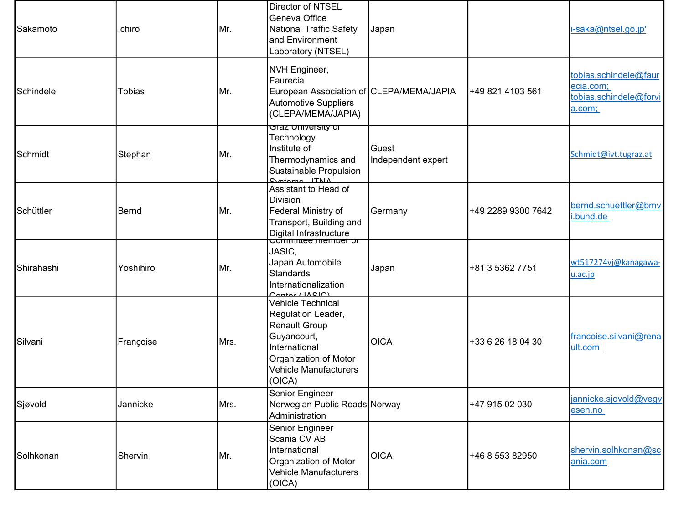| Sakamoto   | Ichiro        | Mr.  | Director of NTSEL<br>Geneva Office<br><b>National Traffic Safety</b><br>and Environment<br>Laboratory (NTSEL)                                                             | Japan                       |                    | i-saka@ntsel.go.jp'                                                    |
|------------|---------------|------|---------------------------------------------------------------------------------------------------------------------------------------------------------------------------|-----------------------------|--------------------|------------------------------------------------------------------------|
| Schindele  | <b>Tobias</b> | Mr.  | NVH Engineer,<br>Faurecia<br>European Association of CLEPA/MEMA/JAPIA<br>Automotive Suppliers<br>(CLEPA/MEMA/JAPIA)                                                       |                             | +49 821 4103 561   | tobias.schindele@faur<br>ecia.com;<br>tobias.schindele@forvi<br>a.com; |
| Schmidt    | Stephan       | Mr.  | <del>Graz Oniversity or</del><br>Technology<br>Institute of<br>Thermodynamics and<br>Sustainable Propulsion<br>$C$ <i>vetome</i> $ITNIA$                                  | Guest<br>Independent expert |                    | Schmidt@ivt.tugraz.at                                                  |
| Schüttler  | <b>Bernd</b>  | Mr.  | Assistant to Head of<br><b>Division</b><br>Federal Ministry of<br>Transport, Building and<br>Digital Infrastructure<br>Committee member or                                | Germany                     | +49 2289 9300 7642 | bernd.schuettler@bmv<br>.bund.de                                       |
| Shirahashi | Yoshihiro     | Mr.  | JASIC,<br>Japan Automobile<br><b>Standards</b><br>Internationalization<br>Context (IAC)                                                                                   | Japan                       | +81 3 5362 7751    | wt517274vj@kanagawa-<br>u.ac.jp                                        |
| Silvani    | Françoise     | Mrs. | <b>Vehicle Technical</b><br>Regulation Leader,<br><b>Renault Group</b><br>Guyancourt,<br>International<br>Organization of Motor<br><b>Vehicle Manufacturers</b><br>(OICA) | <b>OICA</b>                 | +33 6 26 18 04 30  | francoise.silvani@rena<br>ult.com                                      |
| Sjøvold    | Jannicke      | Mrs. | Senior Engineer<br>Norwegian Public Roads Norway<br>Administration                                                                                                        |                             | +47 915 02 030     | jannicke.sjovold@vegv<br>esen.no                                       |
| Solhkonan  | Shervin       | Mr.  | Senior Engineer<br>Scania CV AB<br>International<br>Organization of Motor<br><b>Vehicle Manufacturers</b><br>(OICA)                                                       | <b>OICA</b>                 | +46 8 553 82950    | shervin.solhkonan@sc<br>ania.com                                       |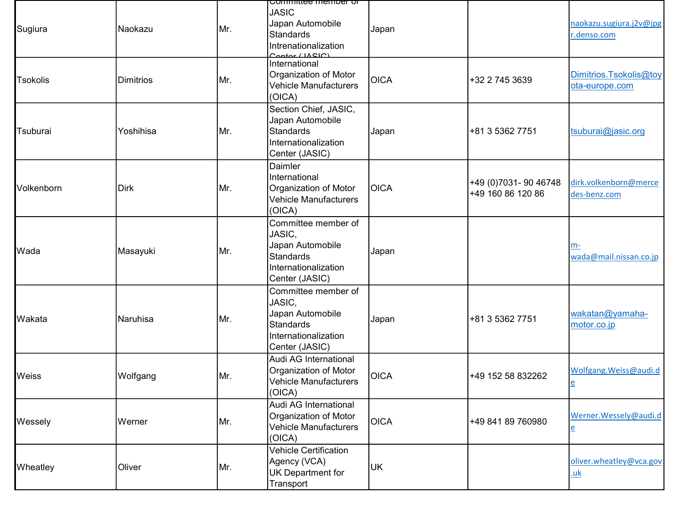| Sugiura    | Naokazu          | Mr. | Committee member or<br><b>JASIC</b><br>Japan Automobile<br><b>Standards</b><br>Intrenationalization<br>Context  | Japan       |                                            | naokazu.sugiura.j2v@jpg<br>r.denso.com             |
|------------|------------------|-----|-----------------------------------------------------------------------------------------------------------------|-------------|--------------------------------------------|----------------------------------------------------|
| Tsokolis   | <b>Dimitrios</b> | Mr. | International<br>Organization of Motor<br><b>Vehicle Manufacturers</b><br>(OICA)                                | <b>OICA</b> | +32 2 745 3639                             | Dimitrios.Tsokolis@toy<br>ota-europe.com           |
| Tsuburai   | Yoshihisa        | Mr. | Section Chief, JASIC,<br>Japan Automobile<br><b>Standards</b><br>Internationalization<br>Center (JASIC)         | Japan       | +81 3 5362 7751                            | tsuburai@jasic.org                                 |
| Volkenborn | <b>Dirk</b>      | Mr. | Daimler<br>International<br>Organization of Motor<br><b>Vehicle Manufacturers</b><br>(OICA)                     | <b>OICA</b> | +49 (0)7031- 90 46748<br>+49 160 86 120 86 | dirk.volkenborn@merce<br>des-benz.com              |
| Wada       | Masayuki         | Mr. | Committee member of<br>JASIC,<br>Japan Automobile<br><b>Standards</b><br>Internationalization<br>Center (JASIC) | Japan       |                                            | m-<br>wada@mail.nissan.co.jp                       |
| Wakata     | Naruhisa         | Mr. | Committee member of<br>JASIC,<br>Japan Automobile<br><b>Standards</b><br>Internationalization<br>Center (JASIC) | Japan       | +81 3 5362 7751                            | wakatan@yamaha-<br>motor.co.jp                     |
| Weiss      | Wolfgang         | Mr. | Audi AG International<br>Organization of Motor<br>Vehicle Manufacturers<br>(OICA)                               | <b>OICA</b> | +49 152 58 832262                          | Wolfgang. Weiss@audi.d<br>e                        |
| Wessely    | Werner           | Mr. | Audi AG International<br>Organization of Motor<br><b>Vehicle Manufacturers</b><br>(OICA)                        | <b>OICA</b> | +49 841 89 760980                          | Werner. Wessely@audi.d<br>$\underline{\mathsf{e}}$ |
| Wheatley   | Oliver           | Mr. | <b>Vehicle Certification</b><br>Agency (VCA)<br><b>UK Department for</b><br>Transport                           | <b>UK</b>   |                                            | oliver.wheatley@vca.gov<br>.uk                     |